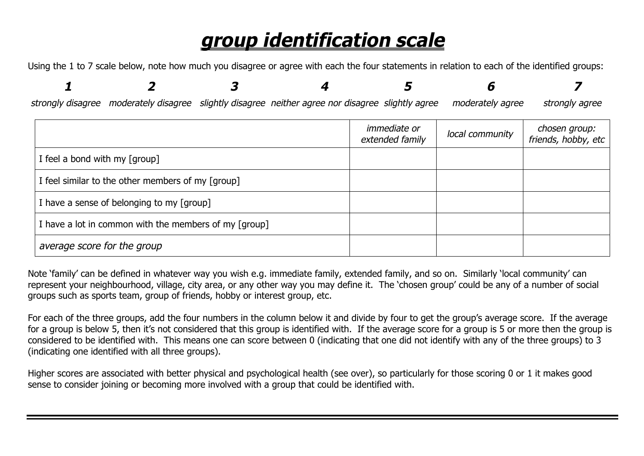## *group identification scale*

Using the 1 to 7 scale below, note how much you disagree or agree with each the four statements in relation to each of the identified groups:

|  | strongly disagree moderately disagree slightly disagree neither agree nor disagree slightly agree moderately agree strongly agree |  |  |
|--|-----------------------------------------------------------------------------------------------------------------------------------|--|--|

|                                                       | <i>immediate or</i><br>extended family | local community | chosen group:<br>friends, hobby, etc |
|-------------------------------------------------------|----------------------------------------|-----------------|--------------------------------------|
| I feel a bond with my [group]                         |                                        |                 |                                      |
| I feel similar to the other members of my [group]     |                                        |                 |                                      |
| I have a sense of belonging to my [group]             |                                        |                 |                                      |
| I have a lot in common with the members of my [group] |                                        |                 |                                      |
| average score for the group                           |                                        |                 |                                      |

Note 'family' can be defined in whatever way you wish e.g. immediate family, extended family, and so on. Similarly 'local community' can represent your neighbourhood, village, city area, or any other way you may define it. The 'chosen group' could be any of a number of social groups such as sports team, group of friends, hobby or interest group, etc.

For each of the three groups, add the four numbers in the column below it and divide by four to get the group's average score. If the average for a group is below 5, then it's not considered that this group is identified with. If the average score for a group is 5 or more then the group is considered to be identified with. This means one can score between 0 (indicating that one did not identify with any of the three groups) to 3 (indicating one identified with all three groups).

Higher scores are associated with better physical and psychological health (see over), so particularly for those scoring 0 or 1 it makes good sense to consider joining or becoming more involved with a group that could be identified with.